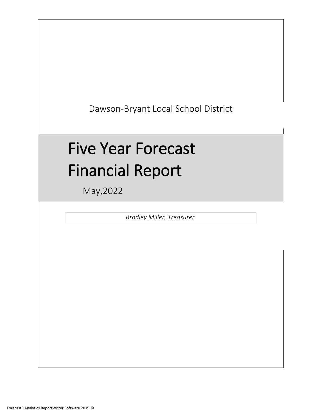Dawson-Bryant Local School District

# Five Year Forecast Financial Report

May,2022

*Bradley Miller, Treasurer*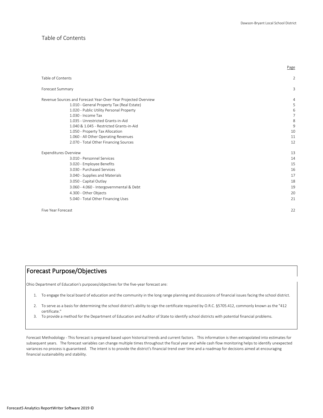Page

#### Table of Contents

| Table of Contents                                              | $\overline{2}$ |
|----------------------------------------------------------------|----------------|
| Forecast Summary                                               | 3              |
| Revenue Sources and Forecast Year-Over-Year Projected Overview | 4              |
| 1.010 - General Property Tax (Real Estate)                     | 5              |
| 1.020 - Public Utility Personal Property                       | 6              |
| 1.030 - Income Tax                                             | 7              |
| 1.035 - Unrestricted Grants-in-Aid                             | 8              |
| 1.040 & 1.045 - Restricted Grants-in-Aid                       | 9              |
| 1.050 - Property Tax Allocation                                | 10             |
| 1.060 - All Other Operating Revenues                           | 11             |
| 2.070 - Total Other Financing Sources                          | 12             |
| <b>Expenditures Overview</b>                                   | 13             |
| 3.010 - Personnel Services                                     | 14             |
| 3.020 - Employee Benefits                                      | 15             |
| 3.030 - Purchased Services                                     | 16             |
| 3.040 - Supplies and Materials                                 | 17             |
| 3.050 - Capital Outlay                                         | 18             |
| 3.060 - 4.060 - Intergovernmental & Debt                       | 19             |
| 4.300 - Other Objects                                          | 20             |
| 5.040 - Total Other Financing Uses                             | 21             |
| Five Year Forecast                                             | 22             |
|                                                                |                |

# Forecast Purpose/Objectives

Ohio Department of Education's purposes/objectives for the five-year forecast are:

- 1. To engage the local board of education and the community in the long range planning and discussions of financial issues facing the school district.
- 2. To serve as a basis for determining the school district's ability to sign the certificate required by O.R.C. §5705.412, commonly known as the "412 certificate."
- 3. To provide a method for the Department of Education and Auditor of State to identify school districts with potential financial problems.

Forecast Methodology - This forecast is prepared based upon historical trends and current factors. This information is then extrapolated into estimates for subsequent years. The forecast variables can change multiple times throughout the fiscal year and while cash flow monitoring helps to identify unexpected variances no process is guaranteed. The intent is to provide the district's financial trend over time and a roadmap for decisions aimed at encouraging financial sustainability and stability.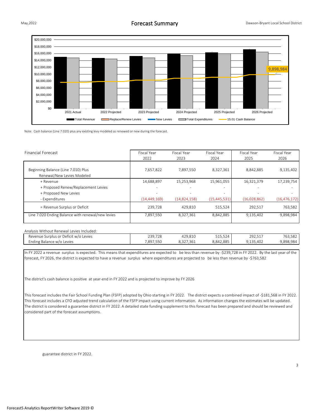

Note: Cash balance (Line 7.020) plus any existing levy modeled as renewed or new during the forecast.

| <b>Financial Forecast</b>                         | Fiscal Year<br>2022      | Fiscal Year<br>2023 | Fiscal Year<br>2024 | Fiscal Year<br>2025 | Fiscal Year<br>2026 |
|---------------------------------------------------|--------------------------|---------------------|---------------------|---------------------|---------------------|
|                                                   |                          |                     |                     |                     |                     |
| Beginning Balance (Line 7.010) Plus               | 7,657,822                | 7,897,550           | 8,327,361           | 8,842,885           | 9,135,402           |
| Renewal/New Levies Modeled                        |                          |                     |                     |                     |                     |
| + Revenue                                         | 14,688,897               | 15,253,968          | 15,961,055          | 16,321,379          | 17,239,754          |
| + Proposed Renew/Replacement Levies               | $\overline{\phantom{a}}$ | -                   | ٠                   |                     |                     |
| + Proposed New Levies                             | $\overline{\phantom{a}}$ |                     | -                   |                     |                     |
| - Expenditures                                    | (14, 449, 169)           | (14,824,158)        | (15, 445, 531)      | (16,028,862)        | (16, 476, 172)      |
| = Revenue Surplus or Deficit                      | 239,728                  | 429.810             | 515,524             | 292.517             | 763,582             |
| Line 7.020 Ending Balance with renewal/new levies | 7,897,550                | 8,327,361           | 8,842,885           | 9,135,402           | 9,898,984           |

#### Analysis Without Renewal Levies Included:

| ⊀evenue<br>' Deficit w/o<br>. Surplus or "<br>) Levies | 239,728 | 129.810       | $TAP$ $TQ$<br>215,524 | つロつ<br>ムジムルコエ | 763,582           |
|--------------------------------------------------------|---------|---------------|-----------------------|---------------|-------------------|
| Levies<br>Ending Balance w/c                           | 897.550 | 1.361<br>◡.◡∠ | 8.842.885             | 9.135.402     | 9.898.98<br>' 4X4 |

In FY 2022 a revenue surplus is expected. This means that expenditures are expected to be less than revenue by -\$239,728 in FY 2022. By the last year of the forecast, FY 2026, the district is expected to have a revenue surplus where expenditures are projected to be less than revenue by -\$763,582

The district's cash balance is positive at year-end in FY 2022 and is projected to improve by FY 2026

This forecast includes the Fair School Funding Plan (FSFP) adopted by Ohio starting in FY 2022. The district expects a combined impact of -\$181,568 in FY 2022. This forecast includes a CFO adjusted trend calculation of the FSFP impact using current information. As information changes the estimates will be updated. The district is considered a guarantee district in FY 2022. A detailed state funding supplement to this forecast has been prepared and should be reviewed and considered part of the forecast assumptions.

guarantee district in FY 2022.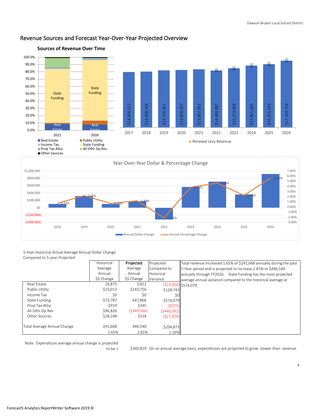

# Revenue Sources and Forecast Year-Over-Year Projected Overview



#### 5-Year Historical Actual Average Annual Dollar Change Compared to 5-year Projected

|                             | Historical  | Projected   | Projected   | Total revenue increased 1.65% or \$241,668 annually during the past |
|-----------------------------|-------------|-------------|-------------|---------------------------------------------------------------------|
|                             | Average     | Average     | Compared to | 5-Year period and is projected to increase 2.81% or \$446,540       |
|                             | Annual      | Annual      | Historical  | annually through FY2026. State Funding has the most projected       |
|                             | \$\$ Change | \$\$ Change | Variance    | average annual variance compared to the historical average at       |
| Real Estate                 | 26.875      | 3.822       |             | (\$23,054) \$574,079                                                |
| Public Utility              | \$15,013    | \$143.756   | \$128,743   |                                                                     |
| Income Tax                  | \$0         | \$0         | \$0         |                                                                     |
| State Funding               | \$73.787    | 647.866     | \$574.079   |                                                                     |
| Prop Tax Alloc              | \$919       | \$345       | (5575)      |                                                                     |
| All Othr Op Rev             | \$96.826    | (5349.566)  | (5446,392)  |                                                                     |
| Other Sources               | \$28,248    | \$318       | (527, 929)  |                                                                     |
|                             |             |             |             |                                                                     |
| Total Average Annual Change | 241,668     | 446,540     | \$204.873   |                                                                     |
|                             | 1.65%       | 2.81%       | 1.16%       |                                                                     |

Note: Expenditure average annual change is projected

\$340,829 to be > On an annual average basis, expenditures are projected to grow slower than revenue.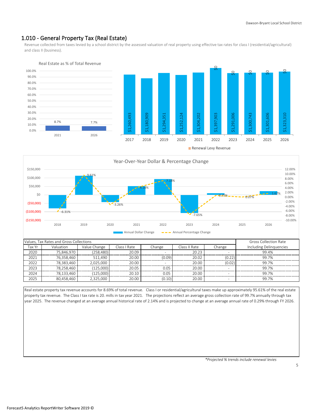## 1.010 - General Property Tax (Real Estate)

Revenue collected from taxes levied by a school district by the assessed valuation of real property using effective tax rates for class I (residential/agricultural) and class II (business).





|                                     | Values. Tax Rates and Gross Collections | <b>Gross Collection Rate</b> |        |               |        |                          |       |
|-------------------------------------|-----------------------------------------|------------------------------|--------|---------------|--------|--------------------------|-------|
| Tax Yr<br>Valuation<br>Value Change |                                         | Class I Rate                 | Change | Class II Rate | Change | Including Delinguencies  |       |
| 2020                                | 75.846.970                              | (258.480)                    | 20.09  |               | 20.23  |                          | 99.4% |
| 2021                                | 76.358.460                              | 511.490                      | 20.00  | (0.09)        | 20.02  | (0.22)                   | 99.7% |
| 2022                                | 78.383.460                              | 2.025.000                    | 20.00  |               | 20.00  | (0.02)                   | 997%  |
| 2023                                | 78.258.460                              | (125,000)                    | 20.05  | 0.05          | 20.00  | $\overline{\phantom{a}}$ | 99.7% |
| 2024                                | 78.133.460                              | (125.000)                    | 20.10  | 0.05          | 20.00  |                          | 99.7% |
| 2025                                | 80.458.460                              | 2,325,000                    | 20.00  | (0.10)        | 20.00  |                          | 99.7% |

Annual Dollar Change  $\longrightarrow$  Annual Percentage Change

Real estate property tax revenue accounts for 8.69% of total revenue. Class I or residential/agricultural taxes make up approximately 95.61% of the real estate property tax revenue. The Class I tax rate is 20. mills in tax year 2021. The projections reflect an average gross collection rate of 99.7% annually through tax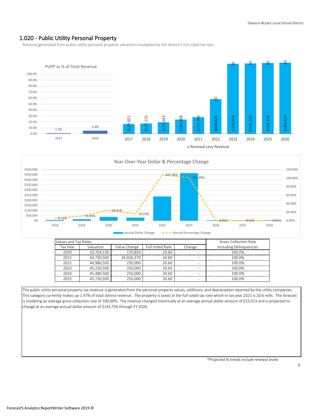## 1.020 - Public Utility Personal Property

Revenue generated from public utility personal property valuations multiplied by the district's full voted tax rate.





| Values and Tax Rates |            |              | <b>Gross Collection Rate</b> |                          |                         |
|----------------------|------------|--------------|------------------------------|--------------------------|-------------------------|
| Tax Year             | Valuation  | Value Change | Full Voted Rate              | Change                   | Including Delinguencies |
| 2020                 | 10.704.130 | 170.850      | 20.60                        | -                        | 100.0%                  |
| 2021                 | 44.730.500 | 34.026.370   | 20.60                        | ۰                        | 100.0%                  |
| 2022                 | 44.980.500 | 250.000      | 20.60                        | -                        | 100.0%                  |
| 2023                 | 45,230,500 | 250,000      | 20.60                        | $\overline{\phantom{a}}$ | 100.0%                  |
| 2024                 | 45,480,500 | 250,000      | 20.60                        | -                        | 100.0%                  |
| 2025                 | 45,730,500 | 250.000      | 20.60                        | ۰                        | 100.0%                  |

The public utility personal property tax revenue is generated from the personal property values, additions, and depreciation reported by the utility companies. This category currently makes up 1.47% of total district revenue. The property is taxed at the full voted tax rate which in tax year 2021 is 20.6 mills. The forecast is modeling an average gross collection rate of 100.00%. The revenue changed historically at an average annual dollar amount of \$15,013 and is projected to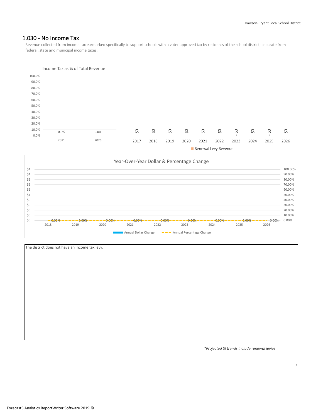## 1.030 - No Income Tax

Revenue collected from income tax earmarked specifically to support schools with a voter approved tax by residents of the school district; separate from federal, state and municipal income taxes.





| The district does not have an income tax levy. |
|------------------------------------------------|
|                                                |
|                                                |
|                                                |
|                                                |
|                                                |
|                                                |
|                                                |
|                                                |
|                                                |
|                                                |
|                                                |
|                                                |
|                                                |

*\*Projected % trends include renewal levies*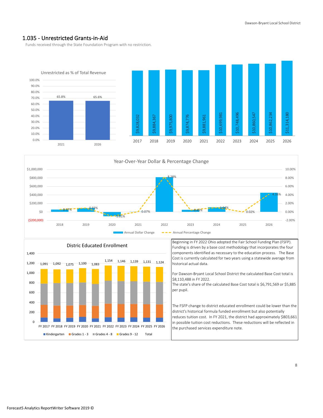#### 1.035 - Unrestricted Grants-in-Aid

Funds received through the State Foundation Program with no restriction.







Beginning in FY 2022 Ohio adopted the Fair School Funding Plan (FSFP). Funding is driven by a base cost methodology that incorporates the four components identified as necessary to the education process. The Base Cost is currently calculated for two years using a statewide average from historical actual data.

For Dawson-Bryant Local School District the calculated Base Cost total is \$8,110,488 in FY 2022.

The state's share of the calculated Base Cost total is \$6,791,569 or \$5,885 per pupil.

The FSFP change to district educated enrollment could be lower than the district's historical formula funded enrollment but also potentially reduces tuition cost. In FY 2021, the district had approximately \$803,661 in possible tuition cost reductions. These reductions will be reflected in the purchased services expenditure note.

Forecast5 Analytics ReportWriter Software 2019 ©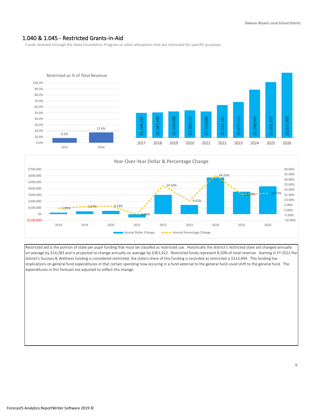## 1.040 & 1.045 - Restricted Grants-in-Aid

Funds received through the State Foundation Program or other allocations that are restricted for specific purposes.





Restricted aid is the portion of state per pupil funding that must be classifed as restricted use. Historically the district's restricted state aid changed annually on average by \$14,283 and is projected to change annually on average by \$361,422. Restricted funds represent 8.20% of total revenue. Starting in FY 2022 the district's Success & Wellness funding is considered restricted, the state's share of this funding is recorded as restricted is \$313,494. This funding has implications on general fund expenditures in that certain spending now occuring in a fund external to the general fund could shift to the general fund. The expenditures in this forecast are adjusted to reflect this change.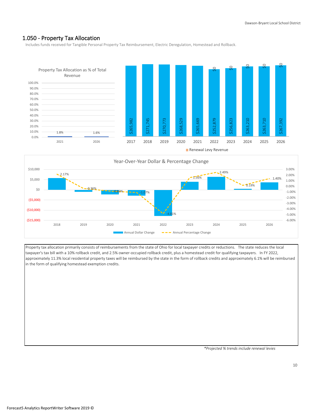## 1.050 - Property Tax Allocation

Includes funds received for Tangible Personal Property Tax Reimbursement, Electric Deregulation, Homestead and Rollback.





Property tax allocation primarily consists of reimbursements from the state of Ohio for local taxpayer credits or reductions. The state reduces the local taxpayer's tax bill with a 10% rollback credit, and 2.5% owner-occupied rollback credit, plus a homestead credit for qualifying taxpayers. In FY 2022, approximately 11.3% local residential property taxes will be reimbursed by the state in the form of rollback credits and approximately 6.1% will be reimbursed in the form of qualifying homestead exemption credits.

*\*Projected % trends include renewal levies*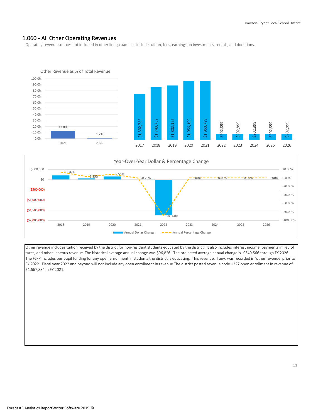## 1.060 - All Other Operating Revenues

Operating revenue sources not included in other lines; examples include tuition, fees, earnings on investments, rentals, and donations.





Other revenue includes tuition received by the district for non-resident students educated by the district. It also includes interest income, payments in lieu of taxes, and miscellaneous revenue. The historical average annual change was \$96,826. The projected average annual change is -\$349,566 through FY 2026. The FSFP includes per pupil funding for any open enrollment in students the district is educating. This revenue, if any, was recorded in 'other revenue' prior to FY 2022. Fiscal year 2022 and beyond will not include any open enrollment in revenue.The district posted revenue code 1227 open enrollment in revenue of \$1,667,884 in FY 2021.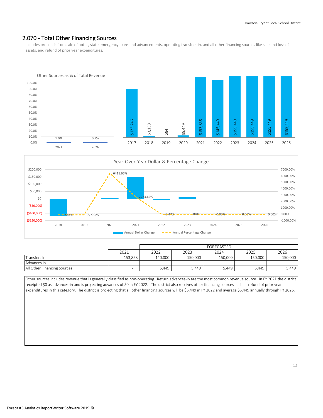## 2.070 - Total Other Financing Sources

Includes proceeds from sale of notes, state emergency loans and advancements, operating transfers-in, and all other financing sources like sale and loss of assets, and refund of prior year expenditures.





|                             |         |         | FORECASTED |         |         |         |  |  |
|-----------------------------|---------|---------|------------|---------|---------|---------|--|--|
|                             | 2021    | 2022    | 2023       | 2024    | 2025    | 2026    |  |  |
| Transfers In                | 153.858 | 140.000 | 150.000    | 150.000 | 150.000 | 150.000 |  |  |
| Advances In                 |         | $\,$    |            | -       |         |         |  |  |
| All Other Financing Sources |         | 5,449   | 5,449      | 5.449   | 5,449   | 5,449   |  |  |

Other sources includes revenue that is generally classified as non-operating. Return advances-in are the most common revenue source. In FY 2021 the district receipted \$0 as advances-in and is projecting advances of \$0 in FY 2022. The district also receives other financing sources such as refund of prior year expenditures in this category. The district is projecting that all other financing sources will be \$5,449 in FY 2022 and average \$5,449 annually through FY 2026.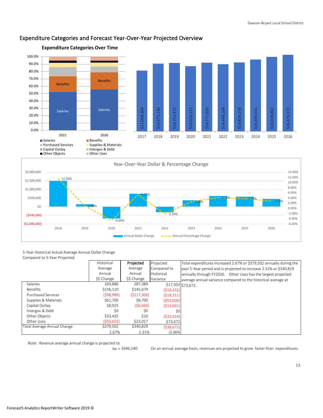

#### Expenditure Categories and Forecast Year-Over-Year Projected Overview



5-Year Historical Actual Average Annual Dollar Change Compared to 5-Year Projected

|                             | Historical  | Projected   | Projected   | Total expenditures increased 2.67% or \$379,502 annually during the |
|-----------------------------|-------------|-------------|-------------|---------------------------------------------------------------------|
|                             | Average     | Average     | Compared to | past 5-Year period and is projected to increase 2.31% or \$340,829  |
|                             | Annual      | Annual      | Historical  | annually through FY2026. Other Uses has the largest projected       |
|                             | \$\$ Change | \$\$ Change | Variance    | average annual variance compared to the historical average at       |
| Salaries                    | 269.886     | 287,389     |             | \$17,503 \$73,672.                                                  |
| <b>Benefits</b>             | \$156,110   | \$145,679   | (510, 431)  |                                                                     |
| <b>Purchased Services</b>   | (598, 989)  | (5117,300)  | (518, 311)  |                                                                     |
| Supplies & Materials        | \$61,700    | \$8,700     | (553,000)   |                                                                     |
| Capital Outlay              | \$8.025     | (56,666)    | (514, 691)  |                                                                     |
| Intergov & Debt             | \$0         | \$0         | \$0         |                                                                     |
| Other Objects               | \$33,425    | \$10        | (533, 414)  |                                                                     |
| Other Uses                  | (550, 655)  | \$23,017    | \$73,672    |                                                                     |
| Total Average Annual Change | \$379,502   | \$340,829   | (538, 672)  |                                                                     |
|                             | 2.67%       | 2.31%       | $-0.36%$    |                                                                     |

Note: Revenue average annual change is projected to

 $be > $446,540$ 

On an annual average basis, revenues are projected to grow faster than expenditures.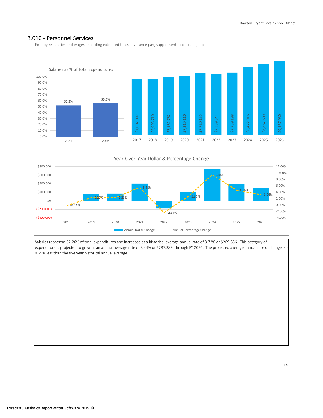#### 3.010 - Personnel Services

Employee salaries and wages, including extended time, severance pay, supplemental contracts, etc.





Salaries represent 52.26% of total expenditures and increased at a historical average annual rate of 3.73% or \$269,886. This category of expenditure is projected to grow at an annual average rate of 3.44% or \$287,389 through FY 2026. The projected average annual rate of change is - 0.29% less than the five year historical annual average.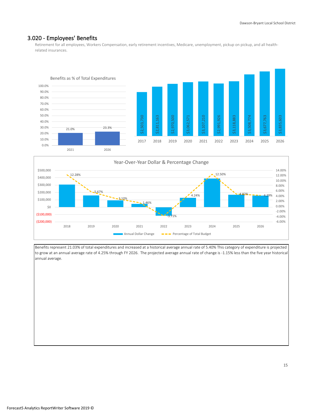#### 3.020 - Employees' Benefits

Retirement for all employees, Workers Compensation, early retirement incentives, Medicare, unemployment, pickup on pickup, and all healthrelated insurances.





Benefits represent 21.03% of total expenditures and increased at a historical average annual rate of 5.40% This category of expenditure is projected to grow at an annual average rate of 4.25% through FY 2026. The projected average annual rate of change is -1.15% less than the five year historical annual average.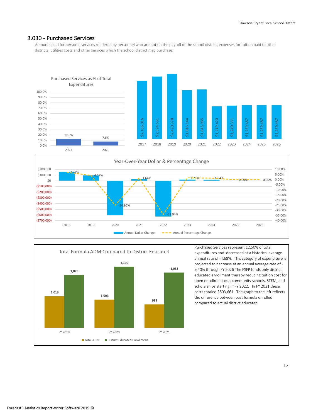#### 3.030 - Purchased Services

Amounts paid for personal services rendered by personnel who are not on the payroll of the school district, expenses for tuition paid to other districts, utilities costs and other services which the school district may purchase.







Purchased Services represent 12.50% of total expenditures and decreased at a historical average annual rate of -4.68%. This category of expenditure is projected to decrease at an annual average rate of - 9.40% through FY 2026 The FSFP funds only district educated enrollment thereby reducing tuition cost for open enrollment out, community schools, STEM, and scholarships starting in FY 2022. In FY 2021 these costs totaled \$803,661. The graph to the left reflects the difference between past formula enrolled compared to actual district educated.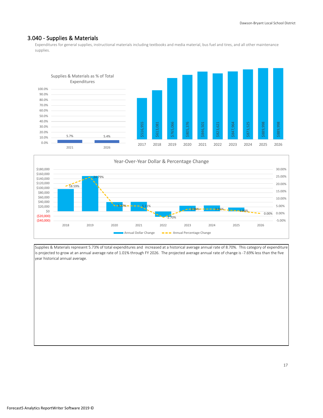#### 3.040 - Supplies & Materials

Expenditures for general supplies, instructional materials including textbooks and media material, bus fuel and tires, and all other maintenance supplies.





Supplies & Materials represent 5.73% of total expenditures and increased at a historical average annual rate of 8.70%. This category of expenditure is projected to grow at an annual average rate of 1.01% through FY 2026. The projected average annual rate of change is -7.69% less than the five year historical annual average.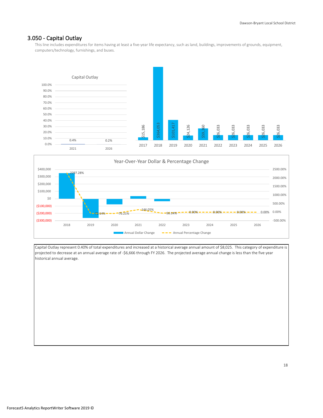#### 3.050 - Capital Outlay

This line includes expenditures for items having at least a five-year life expectancy, such as land, buildings, improvements of grounds, equipment, computers/technology, furnishings, and buses.





Capital Outlay represent 0.40% of total expenditures and increased at a historical average annual amount of \$8,025. This category of expenditure is projected to decrease at an annual average rate of -\$6,666 through FY 2026. The projected average annual change is less than the five year historical annual average.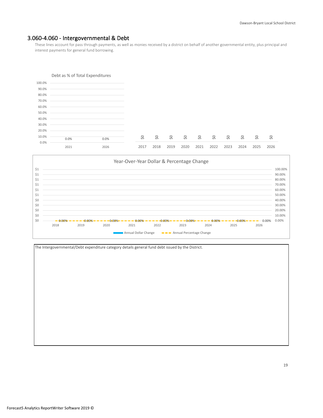#### 3.060-4.060 - Intergovernmental & Debt

These lines account for pass through payments, as well as monies received by a district on behalf of another governmental entity, plus principal and interest payments for general fund borrowing.

#### Debt as % of Total Expenditures



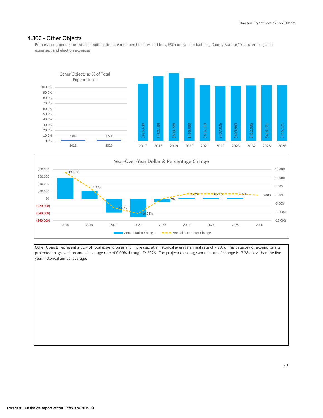#### 4.300 - Other Objects

Primary components for this expenditure line are membership dues and fees, ESC contract deductions, County Auditor/Treasurer fees, audit expenses, and election expenses.





Other Objects represent 2.82% of total expenditures and increased at a historical average annual rate of 7.29%. This category of expenditure is projected to grow at an annual average rate of 0.00% through FY 2026. The projected average annual rate of change is -7.28% less than the five year historical annual average.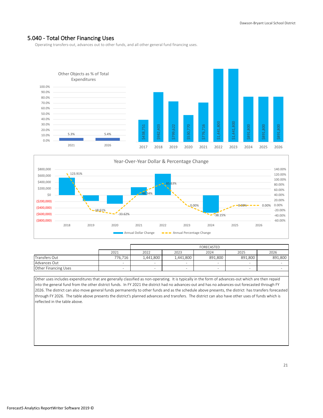#### 5.040 - Total Other Financing Uses

Operating transfers-out, advances out to other funds, and all other general fund financing uses.





|                      |                          | FORECASTED                           |           |         |         |         |  |  |
|----------------------|--------------------------|--------------------------------------|-----------|---------|---------|---------|--|--|
|                      | 2021                     | 2026<br>2023<br>2025<br>2022<br>2024 |           |         |         |         |  |  |
| Transfers Out        | 776.716                  | 1.441.800                            | 1,441,800 | 891.800 | 891.800 | 891.800 |  |  |
| Advances Out         | $\overline{\phantom{a}}$ |                                      | -         |         | -       |         |  |  |
| Other Financing Uses |                          |                                      |           |         |         |         |  |  |

Other uses includes expenditures that are generally classified as non-operating. It is typically in the form of advances-out which are then repaid into the general fund from the other district funds. In FY 2021 the district had no advances-out and has no advances-out forecasted through FY 2026. The district can also move general funds permanently to other funds and as the schedule above presents, the district has transfers forecasted through FY 2026. The table above presents the district's planned advances and transfers. The district can also have other uses of funds which is reflected in the table above.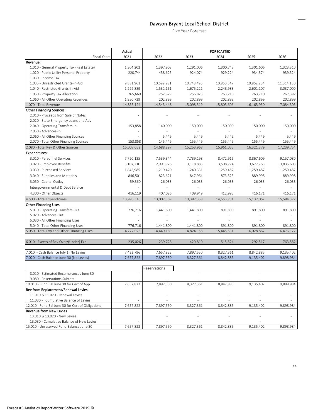# Dawson-Bryant Local School District

Five Year Forecast

|                                                                | Actual         |              |            | <b>FORECASTED</b> |                |            |
|----------------------------------------------------------------|----------------|--------------|------------|-------------------|----------------|------------|
| Fiscal Year:                                                   | 2021           | 2022         | 2023       | 2024              | 2025           | 2026       |
| Revenue:                                                       |                |              |            |                   |                |            |
| 1.010 - General Property Tax (Real Estate)                     | 1,304,202      | 1,397,903    | 1,291,006  | 1,300,743         | 1,301,606      | 1,323,310  |
| 1.020 - Public Utility Personal Property                       | 220,744        | 458,625      | 924,074    | 929,224           | 934,374        | 939,524    |
| 1.030 - Income Tax                                             |                | ÷            |            |                   |                |            |
| 1.035 - Unrestricted Grants-in-Aid                             | 9,881,961      | 10,699,981   | 10,748,496 | 10,860,547        | 10,862,234     | 11,314,180 |
| 1.040 - Restricted Grants-in-Aid                               | 1,229,889      | 1,531,161    | 1,675,221  | 2,248,983         | 2,601,107      | 3,037,000  |
| 1.050 - Property Tax Allocation                                | 265,669        | 252,879      | 256,823    | 263,210           | 263,710        | 267,392    |
| 1.060 - All Other Operating Revenues                           | 1,950,729      | 202.899      | 202,899    | 202,899           | 202,899        | 202,899    |
| 1.070 - Total Revenue                                          | 14,853,194     | 14,543,448   | 15,098,519 | 15,805,606        | 16,165,930     | 17,084,305 |
| <b>Other Financing Sources:</b>                                |                |              |            |                   |                |            |
| 2.010 - Proceeds from Sale of Notes                            |                |              |            |                   |                |            |
| 2.020 - State Emergency Loans and Adv                          |                |              |            |                   |                |            |
| 2.040 - Operating Transfers-In                                 | 153,858        | 140,000      | 150,000    | 150,000           | 150,000        | 150,000    |
| 2.050 - Advances-In                                            | $\overline{a}$ |              |            |                   | $\overline{a}$ |            |
| 2.060 - All Other Financing Sources                            |                | 5,449        | 5,449      | 5,449             | 5,449          | 5,449      |
| 2.070 - Total Other Financing Sources                          | 153,858        | 145,449      | 155,449    | 155,449           | 155,449        | 155,449    |
| 2.080 - Total Rev & Other Sources                              | 15,007,052     | 14,688,897   | 15,253,968 | 15,961,055        | 16,321,379     | 17,239,754 |
| <b>Expenditures:</b>                                           |                |              |            |                   |                |            |
| 3.010 - Personnel Services                                     | 7,720,135      | 7,539,344    | 7,739,198  | 8,472,916         | 8,867,609      | 9,157,080  |
| 3.020 - Employee Benefits                                      | 3,107,210      | 2,991,926    | 3,118,883  | 3,508,774         | 3,677,763      | 3,835,603  |
| 3.030 - Purchased Services                                     | 1,845,985      | 1,219,420    | 1,240,331  | 1,259,487         | 1,259,487      | 1,259,487  |
| 3.040 - Supplies and Materials                                 | 846,501        | 823,621      | 847,964    | 873,525           | 889,998        | 889,998    |
| 3.050 - Capital Outlay                                         | 59,360         | 26,033       | 26,033     | 26,033            | 26,033         | 26,033     |
|                                                                |                |              |            |                   |                |            |
| Intergovernmental & Debt Service                               |                |              |            |                   |                |            |
| 4.300 - Other Objects                                          | 416,119        | 407,026      | 409,949    | 412,995           | 416,171        | 416,171    |
| 4.500 - Total Expenditures                                     | 13,995,310     | 13,007,369   | 13,382,358 | 14,553,731        | 15,137,062     | 15,584,372 |
| <b>Other Financing Uses</b>                                    |                |              |            |                   |                |            |
| 5.010 - Operating Transfers-Out                                | 776,716        | 1,441,800    | 1,441,800  | 891,800           | 891,800        | 891,800    |
| 5.020 - Advances-Out                                           |                |              |            |                   |                |            |
| 5.030 - All Other Financing Uses                               |                |              |            |                   |                |            |
| 5.040 - Total Other Financing Uses                             | 776,716        | 1,441,800    | 1,441,800  | 891,800           | 891,800        | 891,800    |
| 5.050 - Total Exp and Other Financing Uses                     | 14,772,026     | 14,449,169   | 14,824,158 | 15,445,531        | 16,028,862     | 16,476,172 |
|                                                                |                |              |            |                   |                |            |
| 6.010 - Excess of Rev Over/(Under) Exp                         | 235,026        | 239,728      | 429,810    | 515,524           | 292,517        | 763,582    |
| 7.010 - Cash Balance July 1 (No Levies)                        |                |              |            |                   |                |            |
| 7.020 - Cash Balance June 30 (No Levies)                       | 7,422,796      | 7,657,822    | 7,897,550  | 8,327,361         | 8,842,885      | 9,135,402  |
|                                                                | 7,657,822      | 7,897,550    | 8,327,361  | 8,842,885         | 9,135,402      | 9,898,984  |
|                                                                |                | Reservations |            |                   |                |            |
| 8.010 - Estimated Encumbrances June 30                         |                |              |            |                   |                |            |
| 9.080 - Reservations Subtotal                                  |                |              |            |                   |                |            |
|                                                                |                |              |            |                   | 9,135,402      | 9,898,984  |
| 10.010 - Fund Bal June 30 for Cert of App                      | 7,657,822      | 7,897,550    | 8,327,361  | 8,842,885         |                |            |
| Rev from Replacement/Renewal Levies                            |                |              |            |                   |                |            |
| 11.010 & 11.020 - Renewal Levies                               |                |              |            |                   |                |            |
| 11.030 - Cumulative Balance of Levies                          |                |              |            |                   |                |            |
| 12.010 - Fund Bal June 30 for Cert of Obligations              | 7,657,822      | 7,897,550    | 8,327,361  | 8,842,885         | 9,135,402      | 9,898,984  |
| <b>Revenue from New Levies</b><br>13.010 & 13.020 - New Levies |                |              |            |                   |                |            |
| 13.030 - Cumulative Balance of New Levies                      |                |              |            |                   |                |            |
| 15.010 - Unreserved Fund Balance June 30                       | 7,657,822      | 7,897,550    | 8,327,361  | 8,842,885         | 9,135,402      | 9,898,984  |
|                                                                |                |              |            |                   |                |            |